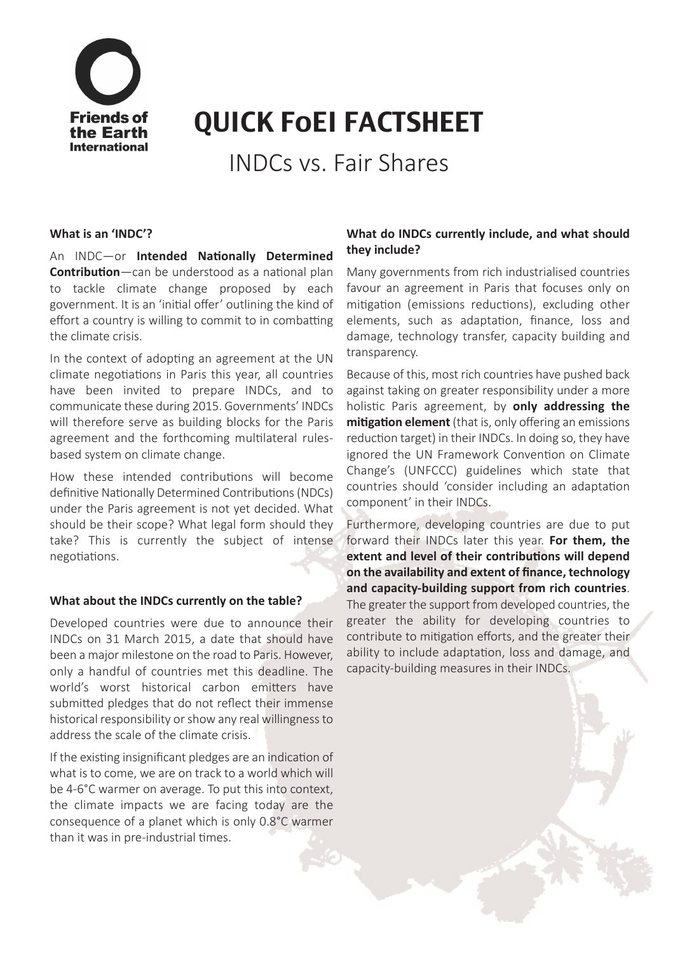

# QUICK FoEI FACTSHEET

INDCs vs. Fair Shares

#### **What is an 'INDC'?**

An INDC—or **Intended Nationally Determined Contribution**—can be understood as a national plan to tackle climate change proposed by each government. It is an 'initial offer' outlining the kind of effort a country is willing to commit to in combatting the climate crisis.

In the context of adopting an agreement at the UN climate negotiations in Paris this year, all countries have been invited to prepare INDCs, and to communicate these during 2015. Governments' INDCs will therefore serve as building blocks for the Paris agreement and the forthcoming multilateral rulesbased system on climate change.

How these intended contributions will become definitive Nationally Determined Contributions(NDCs) under the Paris agreement is not yet decided. What should be their scope? What legal form should they take? This is currently the subject of intense negotiations.

#### **What about the INDCs currently on the table?**

Developed countries were due to announce their INDCs on 31 March 2015, a date that should have been a major milestone on the road to Paris. However, only a handful of countries met this deadline. The world's worst historical carbon emitters have submitted pledges that do not reflect their immense historical responsibility or show any real willingness to address the scale of the climate crisis.

If the existing insignificant pledges are an indication of what is to come, we are on track to a world which will be 4-6°C warmer on average. To put this into context, the climate impacts we are facing today are the consequence of a planet which is only 0.8°C warmer than it was in pre-industrial times.

## **What do INDCs currently include, and what should they include?**

Many governments from rich industrialised countries favour an agreement in Paris that focuses only on mitigation (emissions reductions), excluding other elements, such as adaptation, finance, loss and damage, technology transfer, capacity building and transparency.

Because of this, most rich countries have pushed back against taking on greater responsibility under a more holistic Paris agreement, by **only addressing the mitigation element** (that is, only offering an emissions reduction target) in their INDCs. In doing so, they have ignored the UN Framework Convention on Climate Change's (UNFCCC) guidelines which state that countries should 'consider including an adaptation component' in their INDCs.

Furthermore, developing countries are due to put forward their INDCs later this year. **For them, the extent and level of their contributions will depend on the availability and extent of finance, technology and capacity-building support from rich countries**. The greater the support from developed countries, the greater the ability for developing countries to contribute to mitigation efforts, and the greater their ability to include adaptation, loss and damage, and capacity-building measures in their INDCs.